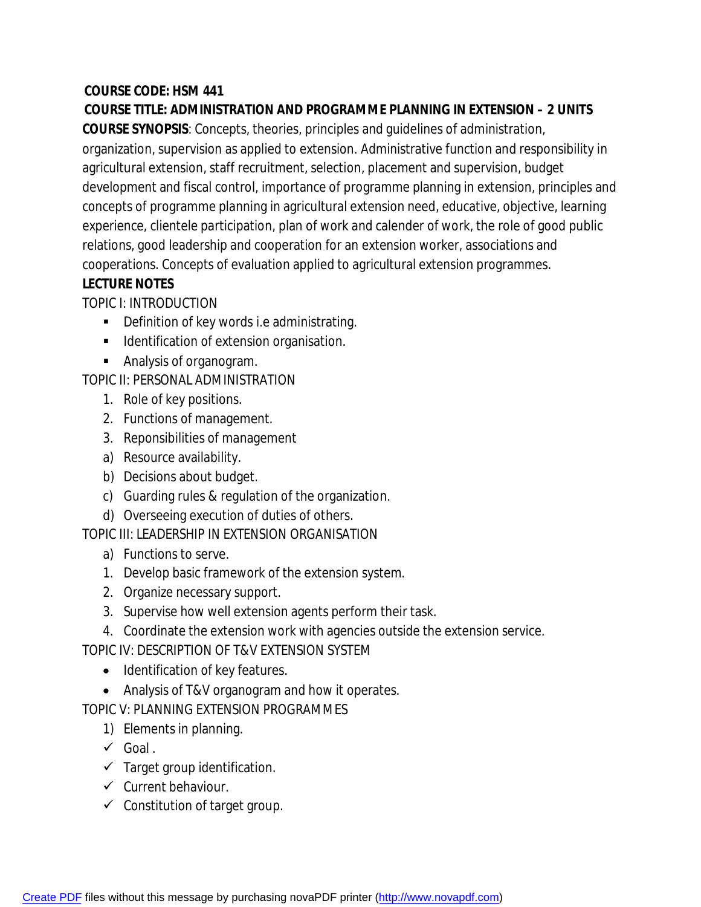## **COURSE CODE: HSM 441**

## **COURSE TITLE: ADMINISTRATION AND PROGRAMME PLANNING IN EXTENSION – 2 UNITS**

**COURSE SYNOPSIS**: Concepts, theories, principles and guidelines of administration, organization, supervision as applied to extension. Administrative function and responsibility in agricultural extension, staff recruitment, selection, placement and supervision, budget development and fiscal control, importance of programme planning in extension, principles and concepts of programme planning in agricultural extension need, educative, objective, learning experience, clientele participation, plan of work and calender of work, the role of good public relations, good leadership and cooperation for an extension worker, associations and cooperations. Concepts of evaluation applied to agricultural extension programmes.

## **LECTURE NOTES**

TOPIC I: INTRODUCTION

- **Definition of key words i.e administrating.**
- **IDENTIFICATION OF EXTENSION OF AUTHOR IDENTIFICATION**
- **Analysis of organogram.**

TOPIC II: PERSONAL ADMINISTRATION

- 1. Role of key positions.
- 2. Functions of management.
- 3. Reponsibilities of management
- a) Resource availability.
- b) Decisions about budget.
- c) Guarding rules & regulation of the organization.
- d) Overseeing execution of duties of others.

TOPIC III: LEADERSHIP IN EXTENSION ORGANISATION

- a) Functions to serve.
- 1. Develop basic framework of the extension system.
- 2. Organize necessary support.
- 3. Supervise how well extension agents perform their task.
- 4. Coordinate the extension work with agencies outside the extension service.

TOPIC IV: DESCRIPTION OF T&V EXTENSION SYSTEM

- Identification of key features.
- Analysis of T&V organogram and how it operates.

TOPIC V: PLANNING EXTENSION PROGRAMMES

- 1) Elements in planning.
- $\checkmark$  Goal.
- $\checkmark$  Target group identification.
- $\checkmark$  Current behaviour.
- $\checkmark$  Constitution of target group.